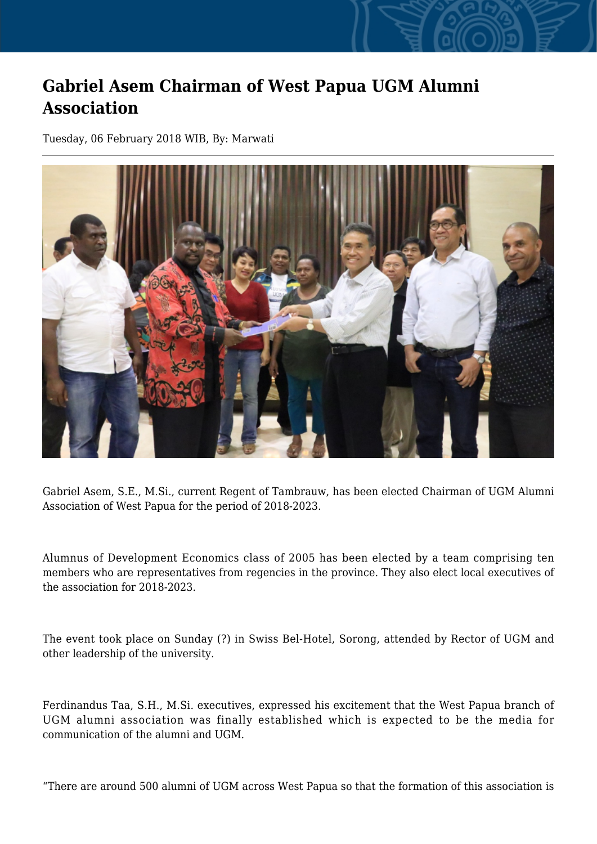## **Gabriel Asem Chairman of West Papua UGM Alumni Association**

Tuesday, 06 February 2018 WIB, By: Marwati



Gabriel Asem, S.E., M.Si., current Regent of Tambrauw, has been elected Chairman of UGM Alumni Association of West Papua for the period of 2018-2023.

Alumnus of Development Economics class of 2005 has been elected by a team comprising ten members who are representatives from regencies in the province. They also elect local executives of the association for 2018-2023.

The event took place on Sunday (?) in Swiss Bel-Hotel, Sorong, attended by Rector of UGM and other leadership of the university.

Ferdinandus Taa, S.H., M.Si. executives, expressed his excitement that the West Papua branch of UGM alumni association was finally established which is expected to be the media for communication of the alumni and UGM.

"There are around 500 alumni of UGM across West Papua so that the formation of this association is